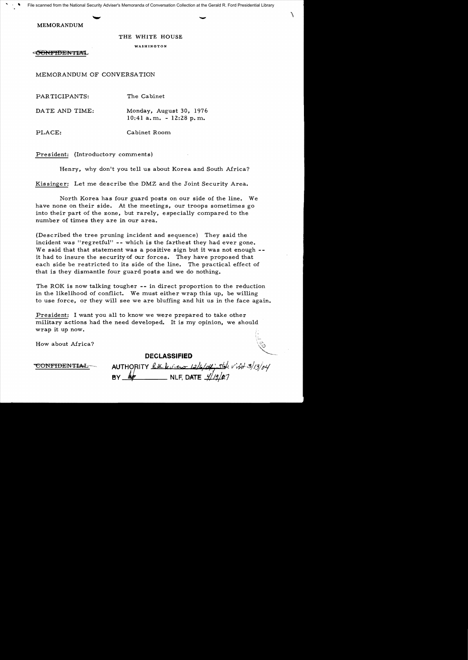'.  $\sim$ File scanned from the National Security Adviser's Memoranda of Conversation Collection at the Gerald R. Ford Presidential Library

MEMORANDUM

## THE WHITE HOUSE

WASHINGTON

**ONFIDENTIA** 

MEMORANDUM OF CONVERSATION

PARTICIPANTS: The Cabinet

DATE AND TIME: Monday, August 30, 1976 10:41 a. m. - 12:28 p. m.

PLACE: Cabinet Room

President: (Introductory comments)

Henry, why don't you tell us about Korea and South Africa?

Kissinger: Let me describe the DMZ and the Joint Security Area.

North Korea has four guard posts on our side of the line. We have none on their side. At the meetings. our troops sometimes go into their part of the zone. but rarely. especially compared to the number of times they are in our area.

(Described the tree pruning incident and sequence) They said the incident was "regretful" -- which is the farthest they had ever gone. We said that that statement was a positive sign but it was not enough -it had to insure the security of our forces. They have proposed that each side be restricted to its side of the line. The practical effect of that is they dismantle four guard posts and we do nothing.

The ROK is now talking tougher **--** in direct proportion to the reduction in the likelihood of conflict. We must either wrap this up. be willing to use force. or they will see we are bluffing and hit us in the face again.

President: I want you all to know we were prepared to take other military actions had the need developed. It is my opinion. we should wrap it up now.

How about Africa?

**DECLASSIFIED** 

CONFIDENTIAL

AUTHORITY  $l$  ac  $l_1$ , i.e.s  $l_2/l_1/\Delta t$  . Take  $v^2/3$  3/3/04 **NLF, DATE**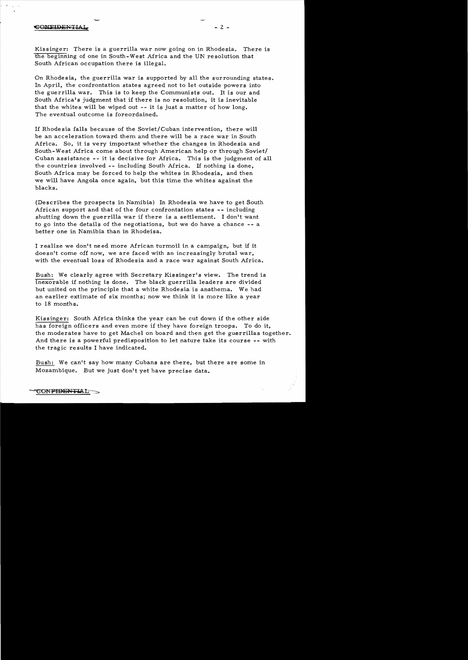## **EONFIDENTIA**

-

Kissinger: There is a guerrilla war now going on in Rhodesia. There is the beginning of one in South-West Africa and the UN resolution that South African occupation there is illegal.

On Rhodesia, the guerrilla war is supported by all the surrounding states. In April, the confrontation states agreed not to let outside powers into the guerrilla war. This is to keep the Communists out. It is our and South Africa's judgment that if there is no resolution, it is inevitable that the whites will be wiped out **--** it is just a matter of how long. The eventual outcome is foreordained.

If Rhodesia falls because of the Soviet/Cuban intervention, there will be an acceleration toward them and there will be a race war in South Africa. So, it is very important whether the changes in Rhodesia and South-West Africa come about through American help or through Soviet/ Cuban assistance - - it is decisive for Africa. This is the judgment of all the countries involved **--** including South Africa. If nothing is done, South Africa may be forced to help the whites in Rhodesia, and then we will have Angola once again, but this time the whites against the blacks.

(Describes the prospects in Namibia) In Rhodesia we have to get South African support and that of the four confrontation states **--** including shutting down the guerrilla war if there is a settlement. I don't want to go into the details of the negotiations, but we do have a chance **--** <sup>a</sup> better one in Namibia than in Rhodeisa.

I realize we don't need more African turmoil in a campaign, but if it doesn't come off now, we are faced with an increasingly brutal war, with the eventual loss of Rhodesia and a race war against South Africa.

Bush: We clearly agree with Secretary Kissinger's view. The trend is inexorable if nothing is done. The black guerrilla leaders are divided but united on the principle that a white Rhodesia is anathema. We had an earlier extimate of six months; now we think it is more like a year to 18 months.

Kissinger: South Africa thinks the year can be cut down if the other side has foreign officers and even more if they have foreign troops. To do it, the moderates have to get Machel on board and then get the guerrillas together. And there is a powerful predisposition to let nature take its course **--** with the tragic results I have indicated.

Bush: We can't say how many Cubans are there, but there are some in Mozambique. But we just don't yet have precise data.

**CONFIDENTIAL**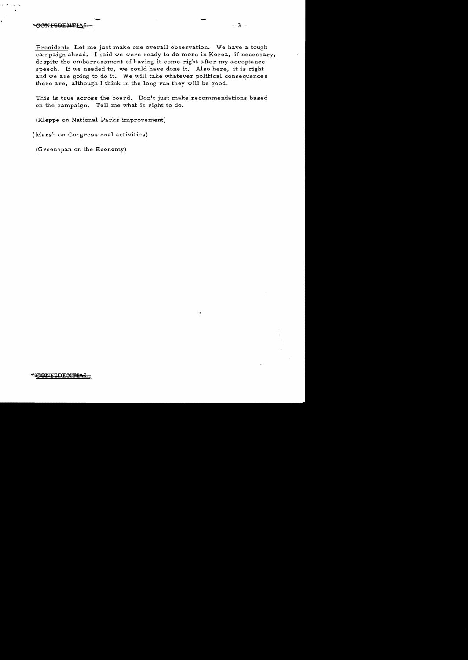## SONFIDENTIAL

President: Let me just make one overall observation. We have a tough campaign ahead. I said we were ready to do more in Korea, if necessary, despite the embarrassment of having it come right after my acceptance speech. If we needed to, we could have done it. Also here, it is right and we are going to do it. We will take whatever political consequences there are, although I think in the long run they will be good.

This is true across the board. Don't just make recommendations based on the campaign. Tell me what is right to do.

(Kleppe on National Parks improvement)

(Marsh on Congressional activities)

(Greenspan on the Economy)

- - - 3

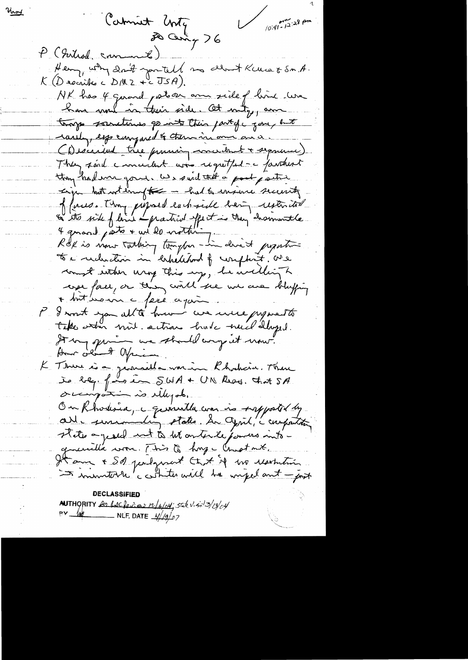Carmiet Unty 76  $\frac{1}{\sqrt{10.41-12}}$  : 28 pm P (Introd comment) Henry why don't you tell no dent Kuns & SM.A.  $K(D$  recribes  $c$   $D/M$   $2 + c$   $\overline{US}A$ ). NK has 4 gerard postoar ann side of line we have more in their side. At mity, am torge societimes go into their particle zone hunt rarely, especimponed & them in ome and. (Discuted très premier concedent + separement) They soul cancellent are regretful - a faithert thony had ever gone. We said that a post partie Liga but withough - had to ensure security of forces. Though proposed each side being restoritor to a recluder in helehood of complexit. We count within wrong this up, he willing h esse face, or thing will see we are bluffing + but because face again I won't you all to have we were present take when mit actions had need dayed. It my quin me should any it now. How old A apricion. K Thur is a geomethe worken Rhockein. There Je bleg. for in SWA + UN Reed. Chat SA orcipations de Muzal. On Khodesia, i quantla com is supported by alle semanding states. De Cent, a compatition guerrilla work. This to hape Chestant. It am + Sol perloment Chat if we resolution In insurterle contrates will be unpelant - just **DECLASSIFIED** 

Viroy

**AUTHORITY** be backeries re/6/04; stile visit 3/13/04  $\frac{mv - hv}{w}$  NLF, DATE  $\frac{\frac{1}{4}}{2}$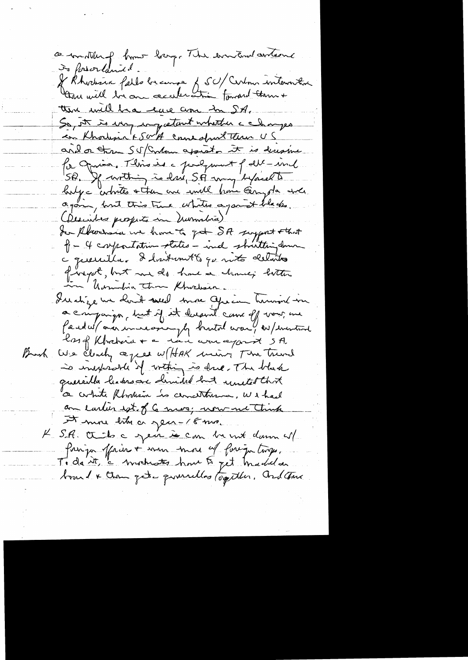ce motter of home harge The environment antique De forsorlande. Je Rhodrick fello brange & SU/Certon intervitoire there will be one acceleration forward them + the will be have come in SA. So, it is uny ung estant whether a changes en Khodisin & Sor A come dont them US and or three SU Contour appear it is decepture for Oprica, This is a persponent of det-und SP. If within is driv, SA way by accent halge arbites + then are until home Georgola and again, but this time whites against blacks.<br>(Describes prospects in Numbria) Son Absorbance we have to get SA suggest that P - 4 compositation states - ind shutting down c querrilla. I internet 6 qu'into detaits fivegat, but me de home a chance; bitter Illetige une cloude souled sonne Officien humand-von a companger, but if it dagent came of vous me faced w/ ordinarion plg brutal war ! as / enstand Bush We clearly agree w/HAK min The Trund is independent of within is drive. The black quereilla leaders are demided but united that a contrate Rhommain is concentrance, we thank an early est of 6 mes; now no think A more bity or year-18 mo. K S.A. Ot to a gent le com be not donn al Poinga officier + were more of foreign troops. Ti da it, a vischwater hour to get madel a board & then get a quarrilles together. and there

 $\mathcal{L}(\mathcal{A})$